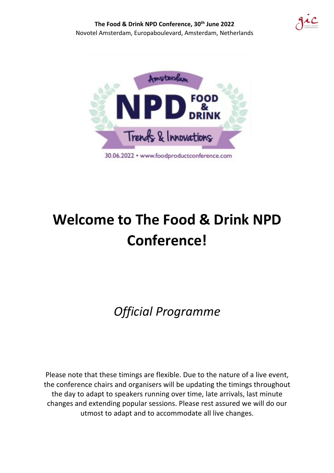

# **Welcome to The Food & Drink NPD Conference!**

*Official Programme*

Please note that these timings are flexible. Due to the nature of a live event, the conference chairs and organisers will be updating the timings throughout the day to adapt to speakers running over time, late arrivals, last minute changes and extending popular sessions. Please rest assured we will do our utmost to adapt and to accommodate all live changes.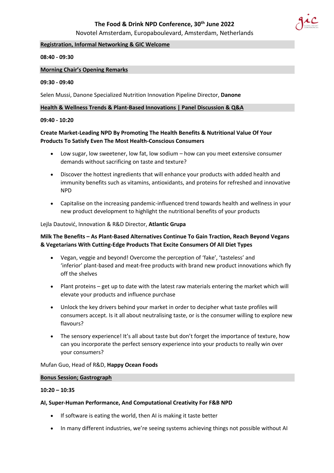

Novotel Amsterdam, Europaboulevard, Amsterdam, Netherlands

#### **Registration, Informal Networking & GIC Welcome**

#### **08:40 - 09:30**

#### **Morning Chair's Opening Remarks**

#### **09:30 - 09:40**

Selen Mussi, Danone Specialized Nutrition Innovation Pipeline Director, **Danone**

#### **Health & Wellness Trends & Plant-Based Innovations | Panel Discussion & Q&A**

#### **09:40 - 10:20**

# **Create Market-Leading NPD By Promoting The Health Benefits & Nutritional Value Of Your Products To Satisfy Even The Most Health-Conscious Consumers**

- Low sugar, low sweetener, low fat, low sodium how can you meet extensive consumer demands without sacrificing on taste and texture?
- Discover the hottest ingredients that will enhance your products with added health and immunity benefits such as vitamins, antioxidants, and proteins for refreshed and innovative NPD
- Capitalise on the increasing pandemic-influenced trend towards health and wellness in your new product development to highlight the nutritional benefits of your products

#### Lejla Dautović, Innovation & R&D Director, **Atlantic Grupa**

# **Milk The Benefits – As Plant-Based Alternatives Continue To Gain Traction, Reach Beyond Vegans & Vegetarians With Cutting-Edge Products That Excite Consumers Of All Diet Types**

- Vegan, veggie and beyond! Overcome the perception of 'fake', 'tasteless' and 'inferior' plant-based and meat-free products with brand new product innovations which fly off the shelves
- Plant proteins get up to date with the latest raw materials entering the market which will elevate your products and influence purchase
- Unlock the key drivers behind your market in order to decipher what taste profiles will consumers accept. Is it all about neutralising taste, or is the consumer willing to explore new flavours?
- The sensory experience! It's all about taste but don't forget the importance of texture, how can you incorporate the perfect sensory experience into your products to really win over your consumers?

#### Mufan Guo, Head of R&D, **Happy Ocean Foods**

#### **Bonus Session; Gastrograph**

#### **10:20 – 10:35**

#### **AI, Super-Human Performance, And Computational Creativity For F&B NPD**

- If software is eating the world, then AI is making it taste better
- In many different industries, we're seeing systems achieving things not possible without AI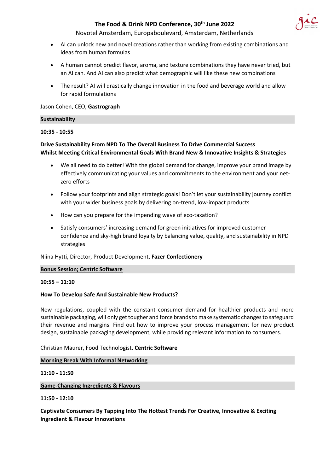

Novotel Amsterdam, Europaboulevard, Amsterdam, Netherlands

- AI can unlock new and novel creations rather than working from existing combinations and ideas from human formulas
- A human cannot predict flavor, aroma, and texture combinations they have never tried, but an AI can. And AI can also predict what demographic will like these new combinations
- The result? AI will drastically change innovation in the food and beverage world and allow for rapid formulations

Jason Cohen, CEO, **Gastrograph**

#### **Sustainability**

#### **10:35 - 10:55**

# **Drive Sustainability From NPD To The Overall Business To Drive Commercial Success Whilst Meeting Critical Environmental Goals With Brand New & Innovative Insights & Strategies**

- We all need to do better! With the global demand for change, improve your brand image by effectively communicating your values and commitments to the environment and your netzero efforts
- Follow your footprints and align strategic goals! Don't let your sustainability journey conflict with your wider business goals by delivering on-trend, low-impact products
- How can you prepare for the impending wave of eco-taxation?
- Satisfy consumers' increasing demand for green initiatives for improved customer confidence and sky-high brand loyalty by balancing value, quality, and sustainability in NPD strategies

Niina Hytti, Director, Product Development, **Fazer Confectionery**

#### **Bonus Session; Centric Software**

#### **10:55 – 11:10**

#### **How To Develop Safe And Sustainable New Products?**

New regulations, coupled with the constant consumer demand for healthier products and more sustainable packaging, will only get tougher and force brands to make systematic changes to safeguard their revenue and margins. Find out how to improve your process management for new product design, sustainable packaging development, while providing relevant information to consumers.

Christian Maurer, Food Technologist, **Centric Software**

#### **Morning Break With Informal Networking**

**11:10 - 11:50**

**Game-Changing Ingredients & Flavours**

**11:50 - 12:10**

**Captivate Consumers By Tapping Into The Hottest Trends For Creative, Innovative & Exciting Ingredient & Flavour Innovations**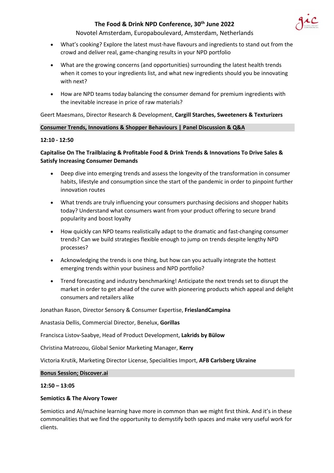

Novotel Amsterdam, Europaboulevard, Amsterdam, Netherlands

- What's cooking? Explore the latest must-have flavours and ingredients to stand out from the crowd and deliver real, game-changing results in your NPD portfolio
- What are the growing concerns (and opportunities) surrounding the latest health trends when it comes to your ingredients list, and what new ingredients should you be innovating with next?
- How are NPD teams today balancing the consumer demand for premium ingredients with the inevitable increase in price of raw materials?

Geert Maesmans, Director Research & Development, **Cargill Starches, Sweeteners & Texturizers**

# **Consumer Trends, Innovations & Shopper Behaviours | Panel Discussion & Q&A**

#### **12:10 - 12:50**

# **Capitalise On The Trailblazing & Profitable Food & Drink Trends & Innovations To Drive Sales & Satisfy Increasing Consumer Demands**

- Deep dive into emerging trends and assess the longevity of the transformation in consumer habits, lifestyle and consumption since the start of the pandemic in order to pinpoint further innovation routes
- What trends are truly influencing your consumers purchasing decisions and shopper habits today? Understand what consumers want from your product offering to secure brand popularity and boost loyalty
- How quickly can NPD teams realistically adapt to the dramatic and fast-changing consumer trends? Can we build strategies flexible enough to jump on trends despite lengthy NPD processes?
- Acknowledging the trends is one thing, but how can you actually integrate the hottest emerging trends within your business and NPD portfolio?
- Trend forecasting and industry benchmarking! Anticipate the next trends set to disrupt the market in order to get ahead of the curve with pioneering products which appeal and delight consumers and retailers alike

Jonathan Rason, Director Sensory & Consumer Expertise, **FrieslandCampina**

Anastasia Dellis, Commercial Director, Benelux, **Gorillas**

Francisca Listov-Saabye, Head of Product Development, **Lakrids by Bülow**

Christina Matrozou, Global Senior Marketing Manager, **Kerry**

Victoria Krutik, Marketing Director License, Specialities Import, **AFB Carlsberg Ukraine**

#### **Bonus Session; Discover.ai**

#### **12:50 – 13:05**

#### **Semiotics & The Aivory Tower**

Semiotics and AI/machine learning have more in common than we might first think. And it's in these commonalities that we find the opportunity to demystify both spaces and make very useful work for clients.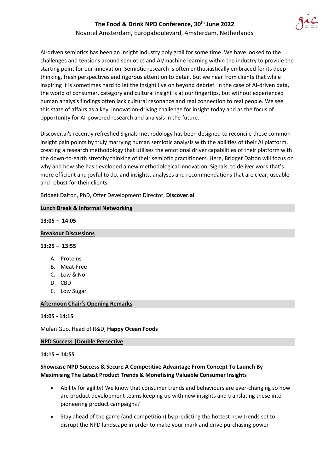

Novotel Amsterdam, Europaboulevard, Amsterdam, Netherlands

AI-driven semiotics has been an insight industry holy grail for some time. We have looked to the challenges and tensions around semiotics and AI/machine learning within the industry to provide the starting point for our innovation. Semiotic research is often enthusiastically embraced for its deep thinking, fresh perspectives and rigorous attention to detail. But we hear from clients that while inspiring it is sometimes hard to let the insight live on beyond debrief. In the case of AI-driven data, the world of consumer, category and cultural insight is at our fingertips, but without experienced human analysis findings often lack cultural resonance and real connection to real people. We see this state of affairs as a key, innovation-driving challenge for insight today and as the focus of opportunity for AI-powered research and analysis in the future.

Discover.ai's recently refreshed Signals methodology has been designed to reconcile these common insight pain points by truly marrying human semiotic analysis with the abilities of their AI platform, creating a research methodology that utilises the emotional driver capabilities of their platform with the down-to-earth stretchy thinking of their semiotic practitioners. Here, Bridget Dalton will focus on why and how she has developed a new methodological innovation, Signals, to deliver work that's more efficient and joyful to do, and insights, analyses and recommendations that are clear, useable and robust for their clients.

Bridget Dalton, PhD, Offer Development Director, **Discover.ai**

| $13:05 - 14:05$             |              |
|-----------------------------|--------------|
| <b>Breakout Discussions</b> |              |
| $13:25 - 13:55$             |              |
|                             | A. Proteins  |
|                             | B. Meat-Free |
|                             | C. Low & No  |
|                             | D. CBD       |
|                             | E. Low Sugar |
|                             |              |

#### **Afternoon Chair's Opening Remarks**

**Lunch Break & Informal Networking**

#### **14:05 - 14:15**

Mufan Guo, Head of R&D, **Happy Ocean Foods**

#### **NPD Success |Double Persective**

#### **14:15 – 14:55**

#### **Showcase NPD Success & Secure A Competitive Advantage From Concept To Launch By Maximising The Latest Product Trends & Monetising Valuable Consumer Insights**

- Ability for agility! We know that consumer trends and behaviours are ever-changing so how are product development teams keeping up with new insights and translating these into pioneering product campaigns?
- Stay ahead of the game (and competition) by predicting the hottest new trends set to disrupt the NPD landscape in order to make your mark and drive purchasing power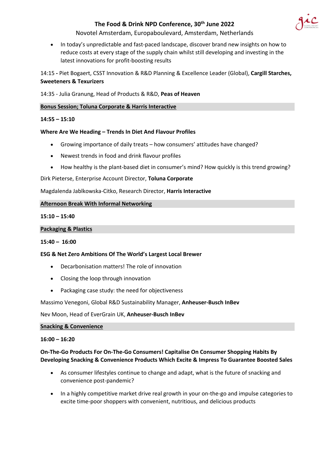

Novotel Amsterdam, Europaboulevard, Amsterdam, Netherlands

• In today's unpredictable and fast-paced landscape, discover brand new insights on how to reduce costs at every stage of the supply chain whilst still developing and investing in the latest innovations for profit-boosting results

14:15 **-** Piet Bogaert, CSST Innovation & R&D Planning & Excellence Leader (Global), **Cargill Starches, Sweeteners & Texurizers**

14:35 - Julia Granung, Head of Products & R&D, **Peas of Heaven**

# **Bonus Session; Toluna Corporate & Harris Interactive**

#### **14:55 – 15:10**

#### **Where Are We Heading – Trends In Diet And Flavour Profiles**

- Growing importance of daily treats how consumers' attitudes have changed?
- Newest trends in food and drink flavour profiles
- How healthy is the plant-based diet in consumer's mind? How quickly is this trend growing?

Dirk Pieterse, Enterprise Account Director, **Toluna Corporate**

Magdalenda Jablkowska-Citko, Research Director, **Harris Interactive**

#### **Afternoon Break With Informal Networking**

#### **15:10 – 15:40**

#### **Packaging & Plastics**

#### **15:40 – 16:00**

#### **ESG & Net Zero Ambitions Of The World's Largest Local Brewer**

- Decarbonisation matters! The role of innovation
- Closing the loop through innovation
- Packaging case study: the need for objectiveness

Massimo Venegoni, Global R&D Sustainability Manager, **Anheuser-Busch InBev**

Nev Moon, Head of EverGrain UK, **Anheuser-Busch InBev**

#### **Snacking & Convenience**

#### **16:00 – 16:20**

#### **On-The-Go Products For On-The-Go Consumers! Capitalise On Consumer Shopping Habits By Developing Snacking & Convenience Products Which Excite & Impress To Guarantee Boosted Sales**

- As consumer lifestyles continue to change and adapt, what is the future of snacking and convenience post-pandemic?
- In a highly competitive market drive real growth in your on-the-go and impulse categories to excite time-poor shoppers with convenient, nutritious, and delicious products